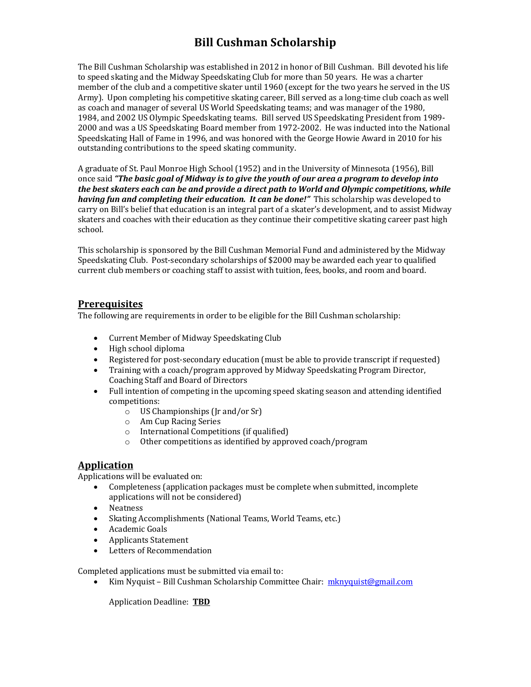# **Bill Cushman Scholarship**

The Bill Cushman Scholarship was established in 2012 in honor of Bill Cushman. Bill devoted his life to speed skating and the Midway Speedskating Club for more than 50 years. He was a charter member of the club and a competitive skater until 1960 (except for the two years he served in the US Army). Upon completing his competitive skating career, Bill served as a long-time club coach as well as coach and manager of several US World Speedskating teams; and was manager of the 1980, 1984, and 2002 US Olympic Speedskating teams. Bill served US Speedskating President from 1989-2000 and was a US Speedskating Board member from 1972-2002. He was inducted into the National Speedskating Hall of Fame in 1996, and was honored with the George Howie Award in 2010 for his outstanding contributions to the speed skating community.

A graduate of St. Paul Monroe High School (1952) and in the University of Minnesota (1956), Bill once said "The basic goal of Midway is to give the youth of our area a program to develop into the best skaters each can be and provide a direct path to World and Olympic competitions, while *having fun and completing their education. It can be done!"* This scholarship was developed to carry on Bill's belief that education is an integral part of a skater's development, and to assist Midway skaters and coaches with their education as they continue their competitive skating career past high school.

This scholarship is sponsored by the Bill Cushman Memorial Fund and administered by the Midway Speedskating Club. Post-secondary scholarships of \$2000 may be awarded each year to qualified current club members or coaching staff to assist with tuition, fees, books, and room and board.

#### **Prerequisites**

The following are requirements in order to be eligible for the Bill Cushman scholarship:

- Current Member of Midway Speedskating Club
- High school diploma
- Registered for post-secondary education (must be able to provide transcript if requested)
- Training with a coach/program approved by Midway Speedskating Program Director, Coaching Staff and Board of Directors
- Full intention of competing in the upcoming speed skating season and attending identified competitions:
	- $\circ$  US Championships (Ir and/or Sr)
	- o Am Cup Racing Series
	- $\circ$  International Competitions (if qualified)
	- $\circ$  Other competitions as identified by approved coach/program

#### **Application**

Applications will be evaluated on:

- Completeness (application packages must be complete when submitted, incomplete applications will not be considered)
- Neatness
- Skating Accomplishments (National Teams, World Teams, etc.)
- Academic Goals
- Applicants Statement
- Letters of Recommendation

Completed applications must be submitted via email to:

• Kim Nyquist – Bill Cushman Scholarship Committee Chair: mknyquist@gmail.com

Application Deadline: **TBD**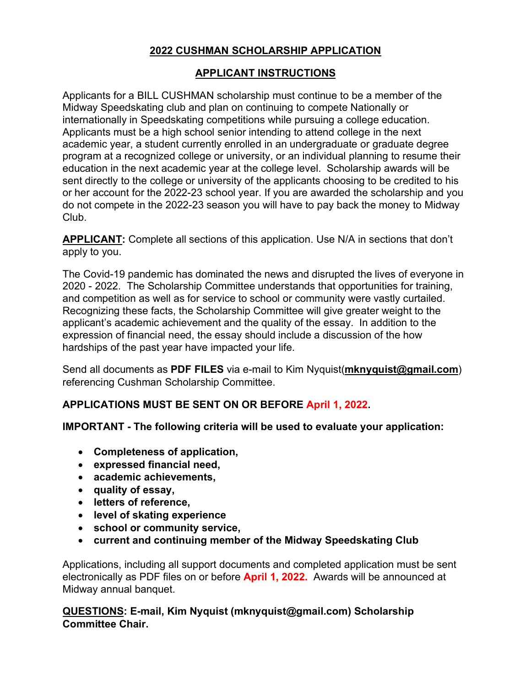## **2022 CUSHMAN SCHOLARSHIP APPLICATION**

## **APPLICANT INSTRUCTIONS**

Applicants for a BILL CUSHMAN scholarship must continue to be a member of the Midway Speedskating club and plan on continuing to compete Nationally or internationally in Speedskating competitions while pursuing a college education. Applicants must be a high school senior intending to attend college in the next academic year, a student currently enrolled in an undergraduate or graduate degree program at a recognized college or university, or an individual planning to resume their education in the next academic year at the college level. Scholarship awards will be sent directly to the college or university of the applicants choosing to be credited to his or her account for the 2022-23 school year. If you are awarded the scholarship and you do not compete in the 2022-23 season you will have to pay back the money to Midway Club.

**APPLICANT:** Complete all sections of this application. Use N/A in sections that don't apply to you.

The Covid-19 pandemic has dominated the news and disrupted the lives of everyone in 2020 - 2022. The Scholarship Committee understands that opportunities for training, and competition as well as for service to school or community were vastly curtailed. Recognizing these facts, the Scholarship Committee will give greater weight to the applicant's academic achievement and the quality of the essay. In addition to the expression of financial need, the essay should include a discussion of the how hardships of the past year have impacted your life.

Send all documents as **PDF FILES** via e-mail to Kim Nyquist(**mknyquist@gmail.com**) referencing Cushman Scholarship Committee.

## **APPLICATIONS MUST BE SENT ON OR BEFORE April 1, 2022.**

### **IMPORTANT - The following criteria will be used to evaluate your application:**

- **Completeness of application,**
- **expressed financial need,**
- **academic achievements,**
- **quality of essay,**
- **letters of reference,**
- **level of skating experience**
- **school or community service,**
- **current and continuing member of the Midway Speedskating Club**

Applications, including all support documents and completed application must be sent electronically as PDF files on or before **April 1, 2022.** Awards will be announced at Midway annual banquet.

**QUESTIONS: E-mail, Kim Nyquist (mknyquist@gmail.com) Scholarship Committee Chair.**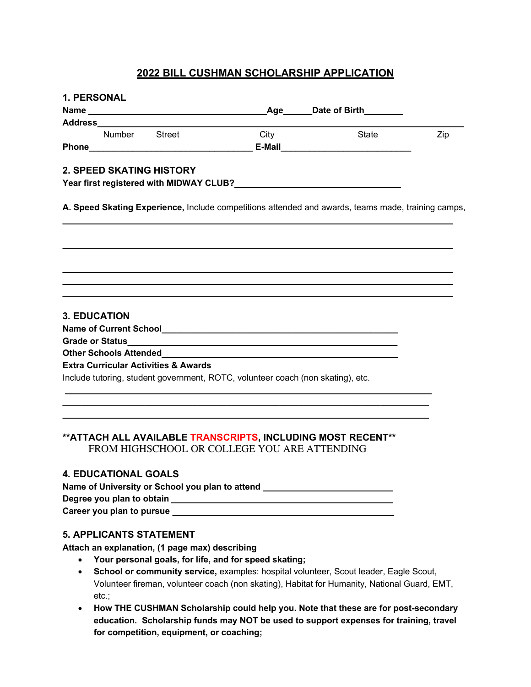### **2022 BILL CUSHMAN SCHOLARSHIP APPLICATION**

| <b>1. PERSONAL</b> |                               |                                                                                                                                                                                                                                |                                                                                                                |                                                             |     |
|--------------------|-------------------------------|--------------------------------------------------------------------------------------------------------------------------------------------------------------------------------------------------------------------------------|----------------------------------------------------------------------------------------------------------------|-------------------------------------------------------------|-----|
|                    |                               |                                                                                                                                                                                                                                |                                                                                                                |                                                             |     |
|                    |                               |                                                                                                                                                                                                                                |                                                                                                                |                                                             |     |
|                    | Number Street                 |                                                                                                                                                                                                                                | City                                                                                                           | State                                                       | Zip |
|                    |                               | Phone Phone and the contract of the contract of the contract of the contract of the contract of the contract of the contract of the contract of the contract of the contract of the contract of the contract of the contract o |                                                                                                                |                                                             |     |
|                    |                               | <b>2. SPEED SKATING HISTORY</b>                                                                                                                                                                                                |                                                                                                                |                                                             |     |
|                    |                               |                                                                                                                                                                                                                                | Year first registered with MIDWAY CLUB? Notice that the control of the control of the control of the control o |                                                             |     |
|                    |                               |                                                                                                                                                                                                                                |                                                                                                                |                                                             |     |
|                    | <b>3. EDUCATION</b>           |                                                                                                                                                                                                                                |                                                                                                                |                                                             |     |
|                    |                               |                                                                                                                                                                                                                                |                                                                                                                |                                                             |     |
|                    |                               |                                                                                                                                                                                                                                |                                                                                                                |                                                             |     |
|                    | <b>Other Schools Attended</b> |                                                                                                                                                                                                                                |                                                                                                                |                                                             |     |
|                    |                               | <b>Extra Curricular Activities &amp; Awards</b>                                                                                                                                                                                |                                                                                                                |                                                             |     |
|                    |                               |                                                                                                                                                                                                                                | Include tutoring, student government, ROTC, volunteer coach (non skating), etc.                                |                                                             |     |
|                    |                               |                                                                                                                                                                                                                                |                                                                                                                |                                                             |     |
|                    |                               |                                                                                                                                                                                                                                |                                                                                                                |                                                             |     |
|                    |                               |                                                                                                                                                                                                                                |                                                                                                                |                                                             |     |
|                    |                               |                                                                                                                                                                                                                                |                                                                                                                | **ATTACH ALL AVAILABLE TRANSCRIPTS, INCLUDING MOST RECENT** |     |
|                    |                               |                                                                                                                                                                                                                                | FROM HIGHSCHOOL OR COLLEGE YOU ARE ATTENDING                                                                   |                                                             |     |

### **4. EDUCATIONAL GOALS**

| Name of University or School you plan to attend |  |  |  |  |  |
|-------------------------------------------------|--|--|--|--|--|
| Degree you plan to obtain                       |  |  |  |  |  |
| Career you plan to pursue                       |  |  |  |  |  |

#### **5. APPLICANTS STATEMENT**

**Attach an explanation, (1 page max) describing**

- **Your personal goals, for life, and for speed skating;**
- **School or community service,** examples: hospital volunteer, Scout leader, Eagle Scout, Volunteer fireman, volunteer coach (non skating), Habitat for Humanity, National Guard, EMT, etc.;
- **How THE CUSHMAN Scholarship could help you. Note that these are for post-secondary education. Scholarship funds may NOT be used to support expenses for training, travel for competition, equipment, or coaching;**